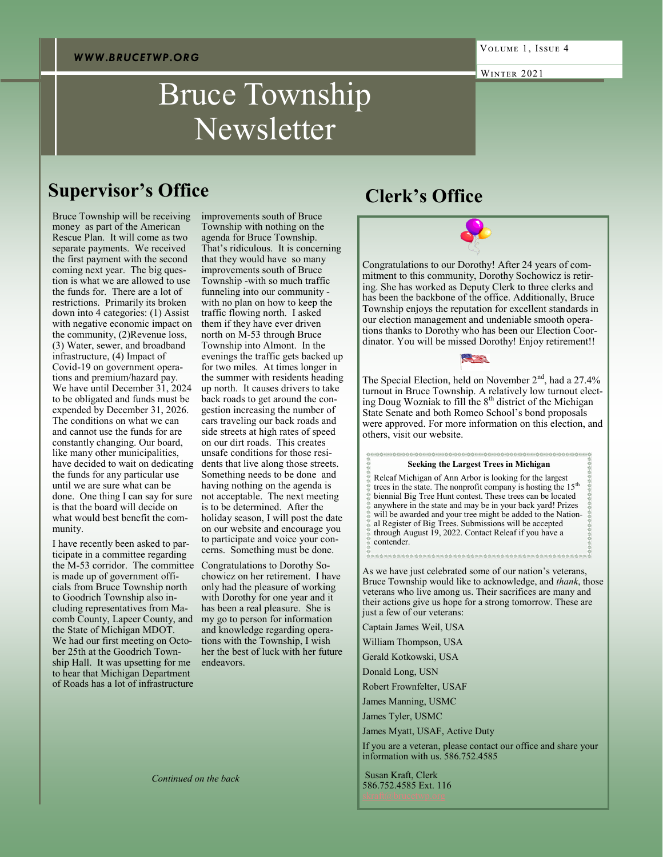# Bruce Township Newsletter

### **Supervisor's Office**

Bruce Township will be receiving money as part of the American Rescue Plan. It will come as two separate payments. We received the first payment with the second coming next year. The big question is what we are allowed to use the funds for. There are a lot of restrictions. Primarily its broken down into 4 categories: (1) Assist with negative economic impact on the community, (2)Revenue loss, (3) Water, sewer, and broadband infrastructure, (4) Impact of Covid-19 on government operations and premium/hazard pay. We have until December 31, 2024 to be obligated and funds must be expended by December 31, 2026. The conditions on what we can and cannot use the funds for are constantly changing. Our board, like many other municipalities, have decided to wait on dedicating the funds for any particular use until we are sure what can be done. One thing I can say for sure is that the board will decide on what would best benefit the community.

I have recently been asked to participate in a committee regarding the M-53 corridor. The committee is made up of government officials from Bruce Township north to Goodrich Township also including representatives from Macomb County, Lapeer County, and the State of Michigan MDOT. We had our first meeting on October 25th at the Goodrich Township Hall. It was upsetting for me to hear that Michigan Department of Roads has a lot of infrastructure

improvements south of Bruce Township with nothing on the agenda for Bruce Township. That's ridiculous. It is concerning that they would have so many improvements south of Bruce Township -with so much traffic funneling into our community with no plan on how to keep the traffic flowing north. I asked them if they have ever driven north on M-53 through Bruce Township into Almont. In the evenings the traffic gets backed up for two miles. At times longer in the summer with residents heading up north. It causes drivers to take back roads to get around the congestion increasing the number of cars traveling our back roads and side streets at high rates of speed on our dirt roads. This creates unsafe conditions for those residents that live along those streets. Something needs to be done and having nothing on the agenda is not acceptable. The next meeting is to be determined. After the holiday season, I will post the date on our website and encourage you to participate and voice your concerns. Something must be done.

Congratulations to Dorothy Sochowicz on her retirement. I have only had the pleasure of working with Dorothy for one year and it has been a real pleasure. She is my go to person for information and knowledge regarding operations with the Township, I wish her the best of luck with her future endeavors.

# **Clerk's Office**

Congratulations to our Dorothy! After 24 years of commitment to this community, Dorothy Sochowicz is retiring. She has worked as Deputy Clerk to three clerks and has been the backbone of the office. Additionally, Bruce Township enjoys the reputation for excellent standards in our election management and undeniable smooth operations thanks to Dorothy who has been our Election Coordinator. You will be missed Dorothy! Enjoy retirement!!



The Special Election, held on November 2<sup>nd</sup>, had a 27.4% turnout in Bruce Township. A relatively low turnout electing Doug Wozniak to fill the  $8<sup>th</sup>$  district of the Michigan State Senate and both Romeo School's bond proposals were approved. For more information on this election, and others, visit our website.

#### **Seeking the Largest Trees in Michigan**

Releaf Michigan of Ann Arbor is looking for the largest trees in the state. The nonprofit company is hosting the  $15<sup>th</sup>$ biennial Big Tree Hunt contest. These trees can be located anywhere in the state and may be in your back yard! Prizes will be awarded and your tree might be added to the National Register of Big Trees. Submissions will be accepted through August 19, 2022. Contact Releaf if you have a contender.

As we have just celebrated some of our nation's veterans, Bruce Township would like to acknowledge, and *thank*, those veterans who live among us. Their sacrifices are many and their actions give us hope for a strong tomorrow. These are just a few of our veterans:

Captain James Weil, USA

William Thompson, USA

Gerald Kotkowski, USA

Donald Long, USN

Robert Frownfelter, USAF

James Manning, USMC

James Tyler, USMC

James Myatt, USAF, Active Duty

If you are a veteran, please contact our office and share your information with us. 586.752.4585

Susan Kraft, Clerk 586.752.4585 Ext. 116

*Continued on the back*

Winter 2021